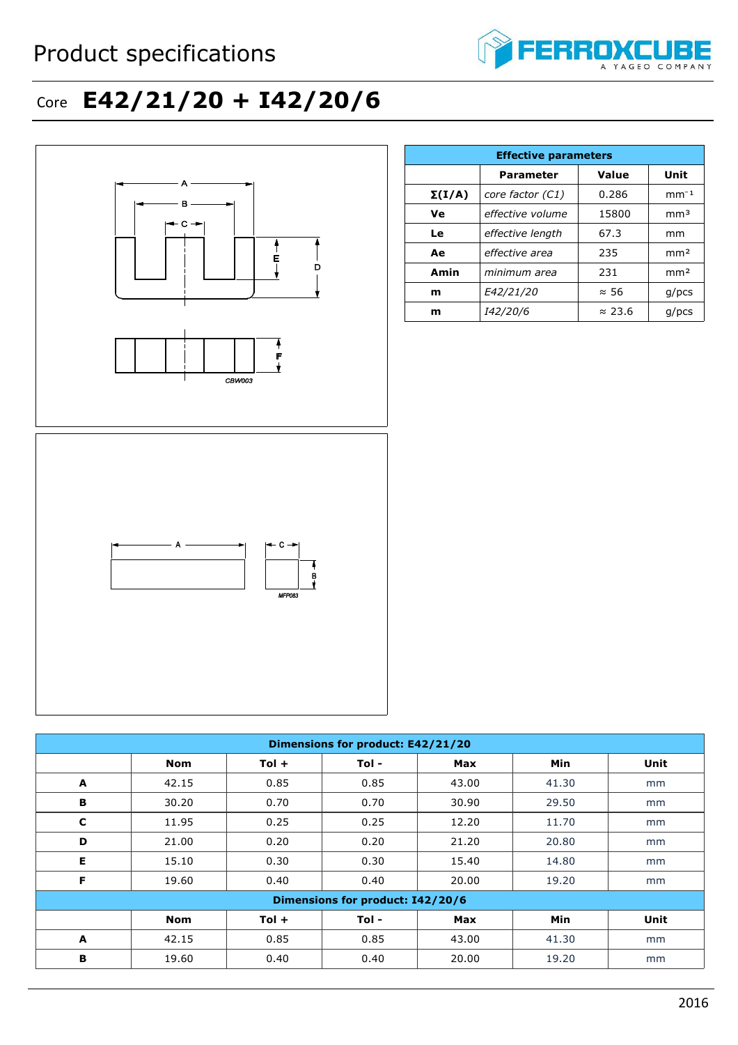## Product specifications



## Core **E42/21/20 + I42/20/6**



| <b>Effective parameters</b> |                  |                |                 |  |  |
|-----------------------------|------------------|----------------|-----------------|--|--|
|                             | <b>Parameter</b> | Value          | Unit            |  |  |
| $\Sigma(I/A)$               | core factor (C1) | 0.286          | $mm-1$          |  |  |
| Ve                          | effective volume | 15800          | mm <sup>3</sup> |  |  |
| Le                          | effective length | 67.3           | mm              |  |  |
| Ae                          | effective area   | 235            | mm <sup>2</sup> |  |  |
| Amin                        | minimum area     | 231            | mm <sup>2</sup> |  |  |
| m                           | E42/21/20        | $\approx$ 56   | $g$ /pcs        |  |  |
| m                           | <i>I42/20/6</i>  | $\approx$ 23.6 | $g$ /pcs        |  |  |

| Dimensions for product: E42/21/20 |            |         |       |            |       |      |  |
|-----------------------------------|------------|---------|-------|------------|-------|------|--|
|                                   | <b>Nom</b> | $Tol +$ | Tol - | <b>Max</b> | Min   | Unit |  |
| A                                 | 42.15      | 0.85    | 0.85  | 43.00      | 41.30 | mm   |  |
| В                                 | 30.20      | 0.70    | 0.70  | 30.90      | 29.50 | mm   |  |
| C                                 | 11.95      | 0.25    | 0.25  | 12.20      | 11.70 | mm   |  |
| D                                 | 21.00      | 0.20    | 0.20  | 21.20      | 20.80 | mm   |  |
| Е                                 | 15.10      | 0.30    | 0.30  | 15.40      | 14.80 | mm   |  |
| F                                 | 19.60      | 0.40    | 0.40  | 20.00      | 19.20 | mm   |  |
| Dimensions for product: I42/20/6  |            |         |       |            |       |      |  |
|                                   | <b>Nom</b> | $Tol +$ | Tol - | <b>Max</b> | Min   | Unit |  |
| A                                 | 42.15      | 0.85    | 0.85  | 43.00      | 41.30 | mm   |  |
| В                                 | 19.60      | 0.40    | 0.40  | 20.00      | 19.20 | mm   |  |